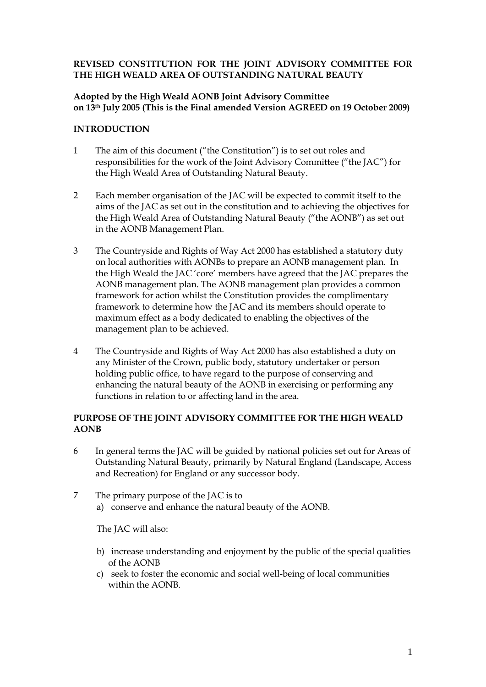## **REVISED CONSTITUTION FOR THE JOINT ADVISORY COMMITTEE FOR THE HIGH WEALD AREA OF OUTSTANDING NATURAL BEAUTY**

### **Adopted by the High Weald AONB Joint Advisory Committee on 13th July 2005 (This is the Final amended Version AGREED on 19 October 2009)**

### **INTRODUCTION**

- 1 The aim of this document ("the Constitution") is to set out roles and responsibilities for the work of the Joint Advisory Committee ("the JAC") for the High Weald Area of Outstanding Natural Beauty.
- 2 Each member organisation of the JAC will be expected to commit itself to the aims of the JAC as set out in the constitution and to achieving the objectives for the High Weald Area of Outstanding Natural Beauty ("the AONB") as set out in the AONB Management Plan.
- 3 The Countryside and Rights of Way Act 2000 has established a statutory duty on local authorities with AONBs to prepare an AONB management plan. In the High Weald the JAC 'core' members have agreed that the JAC prepares the AONB management plan. The AONB management plan provides a common framework for action whilst the Constitution provides the complimentary framework to determine how the JAC and its members should operate to maximum effect as a body dedicated to enabling the objectives of the management plan to be achieved.
- 4 The Countryside and Rights of Way Act 2000 has also established a duty on any Minister of the Crown, public body, statutory undertaker or person holding public office, to have regard to the purpose of conserving and enhancing the natural beauty of the AONB in exercising or performing any functions in relation to or affecting land in the area.

### **PURPOSE OF THE JOINT ADVISORY COMMITTEE FOR THE HIGH WEALD AONB**

- 6 In general terms the JAC will be guided by national policies set out for Areas of Outstanding Natural Beauty, primarily by Natural England (Landscape, Access and Recreation) for England or any successor body.
- 7 The primary purpose of the JAC is to a) conserve and enhance the natural beauty of the AONB.

The JAC will also:

- b) increase understanding and enjoyment by the public of the special qualities of the AONB
- c) seek to foster the economic and social well-being of local communities within the AONB.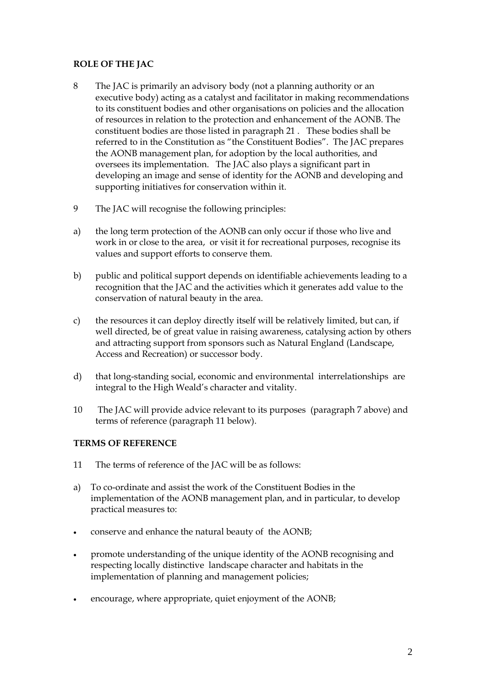# **ROLE OF THE JAC**

- 8 The JAC is primarily an advisory body (not a planning authority or an executive body) acting as a catalyst and facilitator in making recommendations to its constituent bodies and other organisations on policies and the allocation of resources in relation to the protection and enhancement of the AONB. The constituent bodies are those listed in paragraph 21 . These bodies shall be referred to in the Constitution as "the Constituent Bodies". The JAC prepares the AONB management plan, for adoption by the local authorities, and oversees its implementation. The JAC also plays a significant part in developing an image and sense of identity for the AONB and developing and supporting initiatives for conservation within it.
- 9 The JAC will recognise the following principles:
- a) the long term protection of the AONB can only occur if those who live and work in or close to the area, or visit it for recreational purposes, recognise its values and support efforts to conserve them.
- b) public and political support depends on identifiable achievements leading to a recognition that the JAC and the activities which it generates add value to the conservation of natural beauty in the area.
- c) the resources it can deploy directly itself will be relatively limited, but can, if well directed, be of great value in raising awareness, catalysing action by others and attracting support from sponsors such as Natural England (Landscape, Access and Recreation) or successor body.
- d) that long-standing social, economic and environmental interrelationships are integral to the High Weald's character and vitality.
- 10 The JAC will provide advice relevant to its purposes (paragraph 7 above) and terms of reference (paragraph 11 below).

# **TERMS OF REFERENCE**

- 11 The terms of reference of the JAC will be as follows:
- a) To co-ordinate and assist the work of the Constituent Bodies in the implementation of the AONB management plan, and in particular, to develop practical measures to:
- conserve and enhance the natural beauty of the AONB;
- promote understanding of the unique identity of the AONB recognising and respecting locally distinctive landscape character and habitats in the implementation of planning and management policies;
- encourage, where appropriate, quiet enjoyment of the AONB;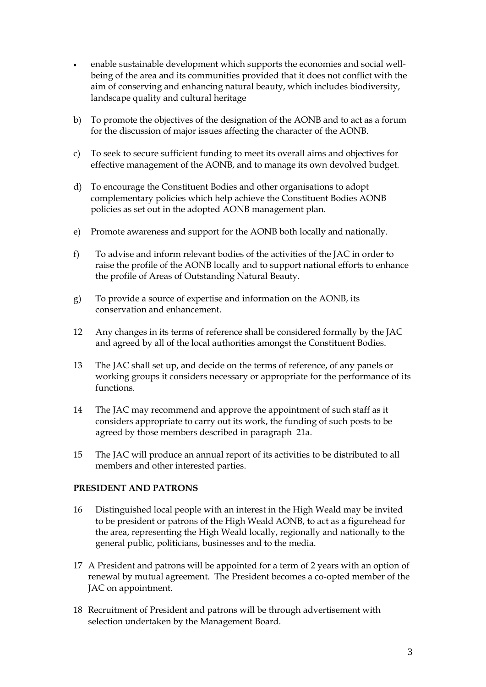- enable sustainable development which supports the economies and social wellbeing of the area and its communities provided that it does not conflict with the aim of conserving and enhancing natural beauty, which includes biodiversity, landscape quality and cultural heritage
- b) To promote the objectives of the designation of the AONB and to act as a forum for the discussion of major issues affecting the character of the AONB.
- c) To seek to secure sufficient funding to meet its overall aims and objectives for effective management of the AONB, and to manage its own devolved budget.
- d) To encourage the Constituent Bodies and other organisations to adopt complementary policies which help achieve the Constituent Bodies AONB policies as set out in the adopted AONB management plan.
- e) Promote awareness and support for the AONB both locally and nationally.
- f) To advise and inform relevant bodies of the activities of the JAC in order to raise the profile of the AONB locally and to support national efforts to enhance the profile of Areas of Outstanding Natural Beauty.
- g) To provide a source of expertise and information on the AONB, its conservation and enhancement.
- 12 Any changes in its terms of reference shall be considered formally by the JAC and agreed by all of the local authorities amongst the Constituent Bodies.
- 13 The JAC shall set up, and decide on the terms of reference, of any panels or working groups it considers necessary or appropriate for the performance of its functions.
- 14 The JAC may recommend and approve the appointment of such staff as it considers appropriate to carry out its work, the funding of such posts to be agreed by those members described in paragraph 21a.
- 15 The JAC will produce an annual report of its activities to be distributed to all members and other interested parties.

# **PRESIDENT AND PATRONS**

- 16 Distinguished local people with an interest in the High Weald may be invited to be president or patrons of the High Weald AONB, to act as a figurehead for the area, representing the High Weald locally, regionally and nationally to the general public, politicians, businesses and to the media.
- 17 A President and patrons will be appointed for a term of 2 years with an option of renewal by mutual agreement. The President becomes a co-opted member of the JAC on appointment.
- 18 Recruitment of President and patrons will be through advertisement with selection undertaken by the Management Board.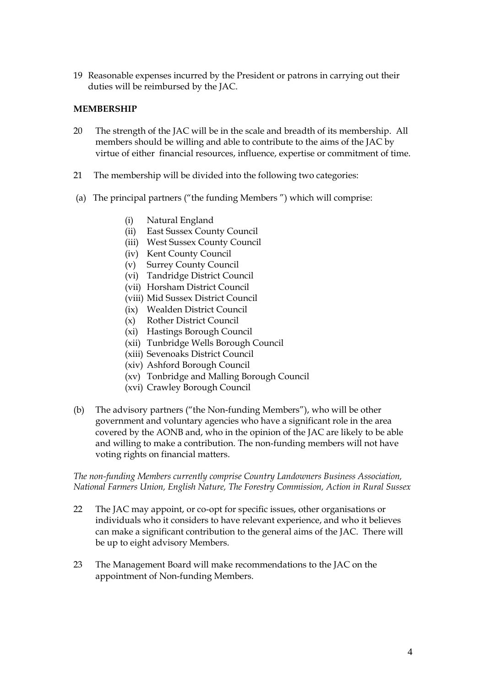19 Reasonable expenses incurred by the President or patrons in carrying out their duties will be reimbursed by the JAC.

### **MEMBERSHIP**

- 20 The strength of the JAC will be in the scale and breadth of its membership. All members should be willing and able to contribute to the aims of the JAC by virtue of either financial resources, influence, expertise or commitment of time.
- 21 The membership will be divided into the following two categories:
- (a) The principal partners ("the funding Members ") which will comprise:
	- (i) Natural England
	- (ii) East Sussex County Council
	- (iii) West Sussex County Council
	- (iv) Kent County Council
	- (v) Surrey County Council
	- (vi) Tandridge District Council
	- (vii) Horsham District Council
	- (viii) Mid Sussex District Council
	- (ix) Wealden District Council
	- (x) Rother District Council
	- (xi) Hastings Borough Council
	- (xii) Tunbridge Wells Borough Council
	- (xiii) Sevenoaks District Council
	- (xiv) Ashford Borough Council
	- (xv) Tonbridge and Malling Borough Council
	- (xvi) Crawley Borough Council
- (b) The advisory partners ("the Non-funding Members"), who will be other government and voluntary agencies who have a significant role in the area covered by the AONB and, who in the opinion of the JAC are likely to be able and willing to make a contribution. The non-funding members will not have voting rights on financial matters.

*The non-funding Members currently comprise Country Landowners Business Association, National Farmers Union, English Nature, The Forestry Commission, Action in Rural Sussex*

- 22 The JAC may appoint, or co-opt for specific issues, other organisations or individuals who it considers to have relevant experience, and who it believes can make a significant contribution to the general aims of the JAC. There will be up to eight advisory Members.
- 23 The Management Board will make recommendations to the JAC on the appointment of Non-funding Members.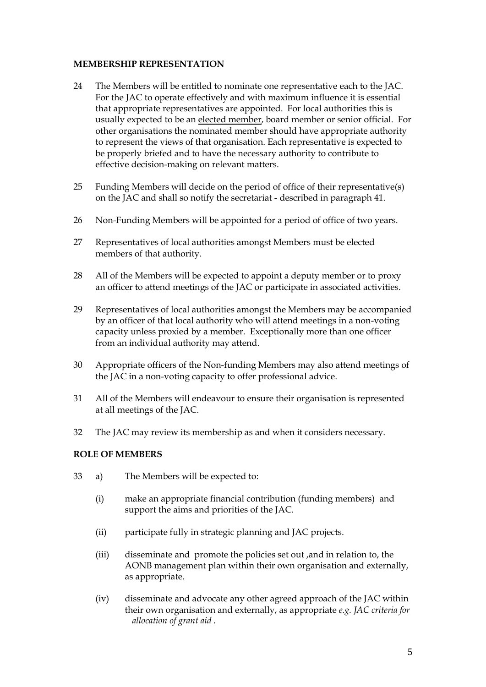### **MEMBERSHIP REPRESENTATION**

- 24 The Members will be entitled to nominate one representative each to the JAC. For the JAC to operate effectively and with maximum influence it is essential that appropriate representatives are appointed. For local authorities this is usually expected to be an elected member, board member or senior official. For other organisations the nominated member should have appropriate authority to represent the views of that organisation. Each representative is expected to be properly briefed and to have the necessary authority to contribute to effective decision-making on relevant matters.
- 25 Funding Members will decide on the period of office of their representative(s) on the JAC and shall so notify the secretariat - described in paragraph 41.
- 26 Non-Funding Members will be appointed for a period of office of two years.
- 27 Representatives of local authorities amongst Members must be elected members of that authority.
- 28 All of the Members will be expected to appoint a deputy member or to proxy an officer to attend meetings of the JAC or participate in associated activities.
- 29 Representatives of local authorities amongst the Members may be accompanied by an officer of that local authority who will attend meetings in a non-voting capacity unless proxied by a member. Exceptionally more than one officer from an individual authority may attend.
- 30 Appropriate officers of the Non-funding Members may also attend meetings of the JAC in a non-voting capacity to offer professional advice.
- 31 All of the Members will endeavour to ensure their organisation is represented at all meetings of the JAC.
- 32 The JAC may review its membership as and when it considers necessary.

### **ROLE OF MEMBERS**

- 33 a) The Members will be expected to:
	- (i) make an appropriate financial contribution (funding members) and support the aims and priorities of the JAC.
	- (ii) participate fully in strategic planning and JAC projects.
	- (iii) disseminate and promote the policies set out ,and in relation to, the AONB management plan within their own organisation and externally, as appropriate.
	- (iv) disseminate and advocate any other agreed approach of the JAC within their own organisation and externally, as appropriate *e.g. JAC criteria for allocation of grant aid .*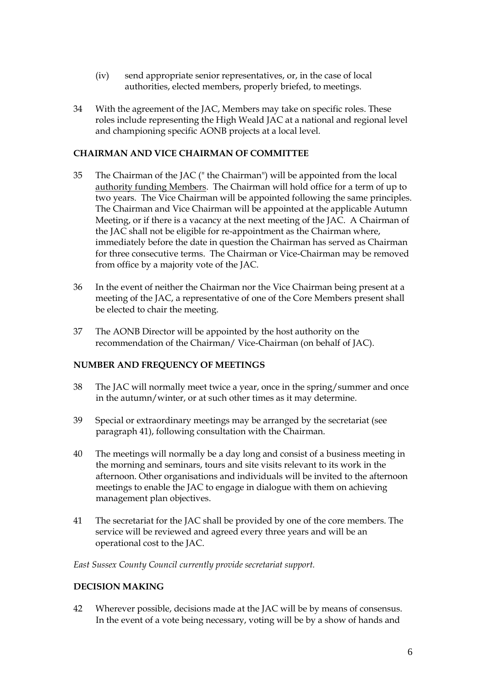- (iv) send appropriate senior representatives, or, in the case of local authorities, elected members, properly briefed, to meetings.
- 34 With the agreement of the JAC, Members may take on specific roles. These roles include representing the High Weald JAC at a national and regional level and championing specific AONB projects at a local level.

### **CHAIRMAN AND VICE CHAIRMAN OF COMMITTEE**

- 35 The Chairman of the JAC (" the Chairman") will be appointed from the local authority funding Members. The Chairman will hold office for a term of up to two years. The Vice Chairman will be appointed following the same principles. The Chairman and Vice Chairman will be appointed at the applicable Autumn Meeting, or if there is a vacancy at the next meeting of the JAC. A Chairman of the JAC shall not be eligible for re-appointment as the Chairman where, immediately before the date in question the Chairman has served as Chairman for three consecutive terms. The Chairman or Vice-Chairman may be removed from office by a majority vote of the JAC.
- 36 In the event of neither the Chairman nor the Vice Chairman being present at a meeting of the JAC, a representative of one of the Core Members present shall be elected to chair the meeting.
- 37 The AONB Director will be appointed by the host authority on the recommendation of the Chairman/ Vice-Chairman (on behalf of JAC).

### **NUMBER AND FREQUENCY OF MEETINGS**

- 38 The JAC will normally meet twice a year, once in the spring/summer and once in the autumn/winter, or at such other times as it may determine.
- 39 Special or extraordinary meetings may be arranged by the secretariat (see paragraph 41), following consultation with the Chairman.
- 40 The meetings will normally be a day long and consist of a business meeting in the morning and seminars, tours and site visits relevant to its work in the afternoon. Other organisations and individuals will be invited to the afternoon meetings to enable the JAC to engage in dialogue with them on achieving management plan objectives.
- 41 The secretariat for the JAC shall be provided by one of the core members. The service will be reviewed and agreed every three years and will be an operational cost to the JAC.

*East Sussex County Council currently provide secretariat support.*

### **DECISION MAKING**

42 Wherever possible, decisions made at the JAC will be by means of consensus. In the event of a vote being necessary, voting will be by a show of hands and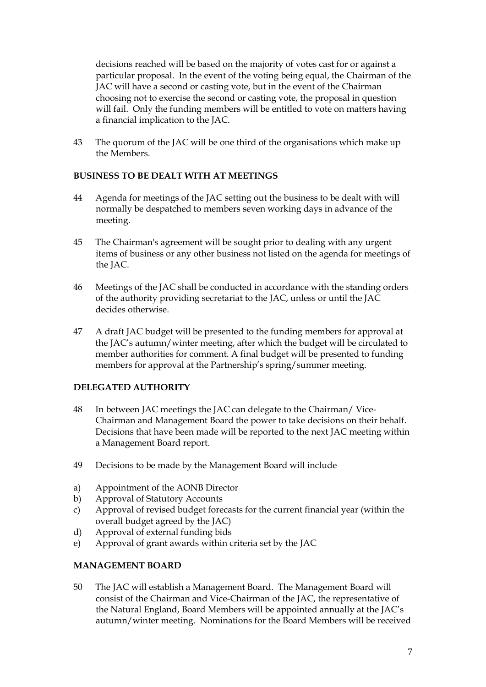decisions reached will be based on the majority of votes cast for or against a particular proposal. In the event of the voting being equal, the Chairman of the JAC will have a second or casting vote, but in the event of the Chairman choosing not to exercise the second or casting vote, the proposal in question will fail. Only the funding members will be entitled to vote on matters having a financial implication to the JAC.

43 The quorum of the JAC will be one third of the organisations which make up the Members.

### **BUSINESS TO BE DEALT WITH AT MEETINGS**

- 44 Agenda for meetings of the JAC setting out the business to be dealt with will normally be despatched to members seven working days in advance of the meeting.
- 45 The Chairman's agreement will be sought prior to dealing with any urgent items of business or any other business not listed on the agenda for meetings of the JAC.
- 46 Meetings of the JAC shall be conducted in accordance with the standing orders of the authority providing secretariat to the JAC, unless or until the JAC decides otherwise.
- 47 A draft JAC budget will be presented to the funding members for approval at the JAC's autumn/winter meeting, after which the budget will be circulated to member authorities for comment. A final budget will be presented to funding members for approval at the Partnership's spring/summer meeting.

# **DELEGATED AUTHORITY**

- 48 In between JAC meetings the JAC can delegate to the Chairman/ Vice-Chairman and Management Board the power to take decisions on their behalf. Decisions that have been made will be reported to the next JAC meeting within a Management Board report.
- 49 Decisions to be made by the Management Board will include
- a) Appointment of the AONB Director
- b) Approval of Statutory Accounts
- c) Approval of revised budget forecasts for the current financial year (within the overall budget agreed by the JAC)
- d) Approval of external funding bids
- e) Approval of grant awards within criteria set by the JAC

# **MANAGEMENT BOARD**

50 The JAC will establish a Management Board. The Management Board will consist of the Chairman and Vice-Chairman of the JAC, the representative of the Natural England, Board Members will be appointed annually at the JAC's autumn/winter meeting. Nominations for the Board Members will be received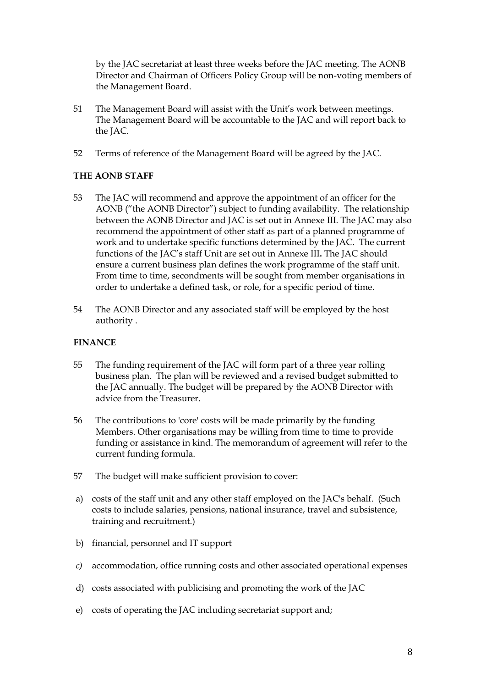by the JAC secretariat at least three weeks before the JAC meeting. The AONB Director and Chairman of Officers Policy Group will be non-voting members of the Management Board.

- 51 The Management Board will assist with the Unit's work between meetings. The Management Board will be accountable to the JAC and will report back to the JAC.
- 52 Terms of reference of the Management Board will be agreed by the JAC.

# **THE AONB STAFF**

- 53 The JAC will recommend and approve the appointment of an officer for the AONB ("the AONB Director") subject to funding availability. The relationship between the AONB Director and JAC is set out in Annexe III. The JAC may also recommend the appointment of other staff as part of a planned programme of work and to undertake specific functions determined by the JAC. The current functions of the JAC's staff Unit are set out in Annexe III**.** The JAC should ensure a current business plan defines the work programme of the staff unit. From time to time, secondments will be sought from member organisations in order to undertake a defined task, or role, for a specific period of time.
- 54 The AONB Director and any associated staff will be employed by the host authority .

# **FINANCE**

- 55 The funding requirement of the JAC will form part of a three year rolling business plan. The plan will be reviewed and a revised budget submitted to the JAC annually. The budget will be prepared by the AONB Director with advice from the Treasurer.
- 56 The contributions to 'core' costs will be made primarily by the funding Members. Other organisations may be willing from time to time to provide funding or assistance in kind. The memorandum of agreement will refer to the current funding formula.
- 57 The budget will make sufficient provision to cover:
- a) costs of the staff unit and any other staff employed on the JAC's behalf. (Such costs to include salaries, pensions, national insurance, travel and subsistence, training and recruitment.)
- b) financial, personnel and IT support
- *c)* accommodation, office running costs and other associated operational expenses
- d) costs associated with publicising and promoting the work of the JAC
- e) costs of operating the JAC including secretariat support and;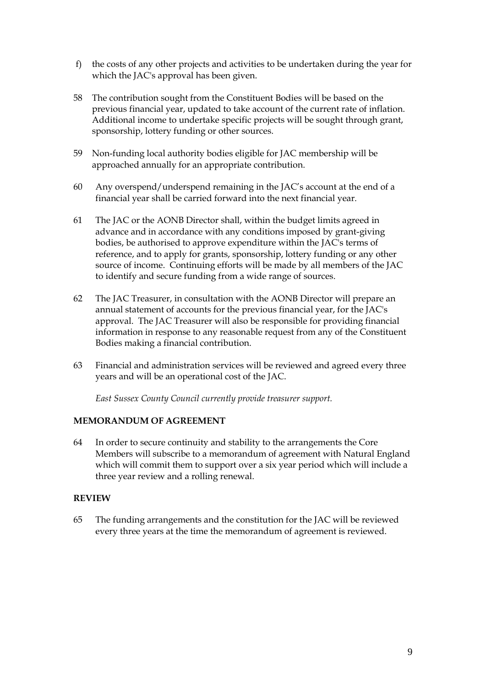- f) the costs of any other projects and activities to be undertaken during the year for which the JAC's approval has been given.
- 58 The contribution sought from the Constituent Bodies will be based on the previous financial year, updated to take account of the current rate of inflation. Additional income to undertake specific projects will be sought through grant, sponsorship, lottery funding or other sources.
- 59 Non-funding local authority bodies eligible for JAC membership will be approached annually for an appropriate contribution.
- 60 Any overspend/underspend remaining in the JAC's account at the end of a financial year shall be carried forward into the next financial year.
- 61 The JAC or the AONB Director shall, within the budget limits agreed in advance and in accordance with any conditions imposed by grant-giving bodies, be authorised to approve expenditure within the JAC's terms of reference, and to apply for grants, sponsorship, lottery funding or any other source of income. Continuing efforts will be made by all members of the JAC to identify and secure funding from a wide range of sources.
- 62 The JAC Treasurer, in consultation with the AONB Director will prepare an annual statement of accounts for the previous financial year, for the JAC's approval. The JAC Treasurer will also be responsible for providing financial information in response to any reasonable request from any of the Constituent Bodies making a financial contribution.
- 63 Financial and administration services will be reviewed and agreed every three years and will be an operational cost of the JAC.

*East Sussex County Council currently provide treasurer support.*

### **MEMORANDUM OF AGREEMENT**

64 In order to secure continuity and stability to the arrangements the Core Members will subscribe to a memorandum of agreement with Natural England which will commit them to support over a six year period which will include a three year review and a rolling renewal.

### **REVIEW**

65 The funding arrangements and the constitution for the JAC will be reviewed every three years at the time the memorandum of agreement is reviewed.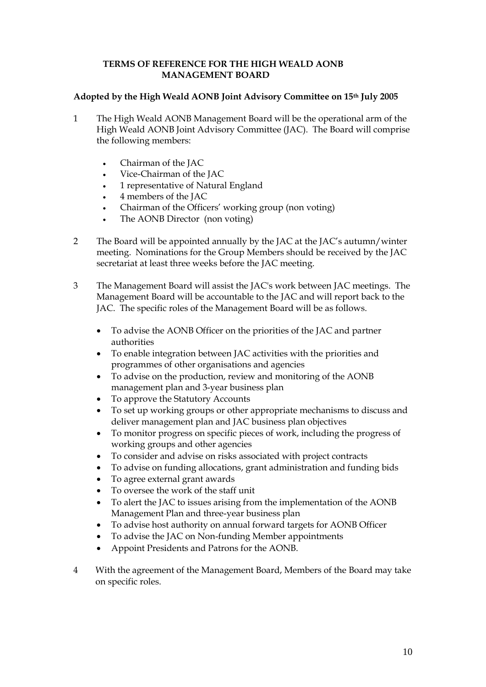### **TERMS OF REFERENCE FOR THE HIGH WEALD AONB MANAGEMENT BOARD**

### **Adopted by the High Weald AONB Joint Advisory Committee on 15th July 2005**

- 1 The High Weald AONB Management Board will be the operational arm of the High Weald AONB Joint Advisory Committee (JAC). The Board will comprise the following members:
	- Chairman of the JAC
	- Vice-Chairman of the JAC
	- 1 representative of Natural England
	- 4 members of the JAC
	- Chairman of the Officers' working group (non voting)
	- The AONB Director (non voting)
- 2 The Board will be appointed annually by the JAC at the JAC's autumn/winter meeting. Nominations for the Group Members should be received by the JAC secretariat at least three weeks before the JAC meeting.
- 3 The Management Board will assist the JAC's work between JAC meetings. The Management Board will be accountable to the JAC and will report back to the JAC. The specific roles of the Management Board will be as follows.
	- To advise the AONB Officer on the priorities of the JAC and partner authorities
	- To enable integration between JAC activities with the priorities and programmes of other organisations and agencies
	- To advise on the production, review and monitoring of the AONB management plan and 3-year business plan
	- To approve the Statutory Accounts
	- To set up working groups or other appropriate mechanisms to discuss and deliver management plan and JAC business plan objectives
	- To monitor progress on specific pieces of work, including the progress of working groups and other agencies
	- To consider and advise on risks associated with project contracts
	- To advise on funding allocations, grant administration and funding bids
	- To agree external grant awards
	- To oversee the work of the staff unit
	- To alert the JAC to issues arising from the implementation of the AONB Management Plan and three-year business plan
	- To advise host authority on annual forward targets for AONB Officer
	- To advise the JAC on Non-funding Member appointments
	- Appoint Presidents and Patrons for the AONB.
- 4 With the agreement of the Management Board, Members of the Board may take on specific roles.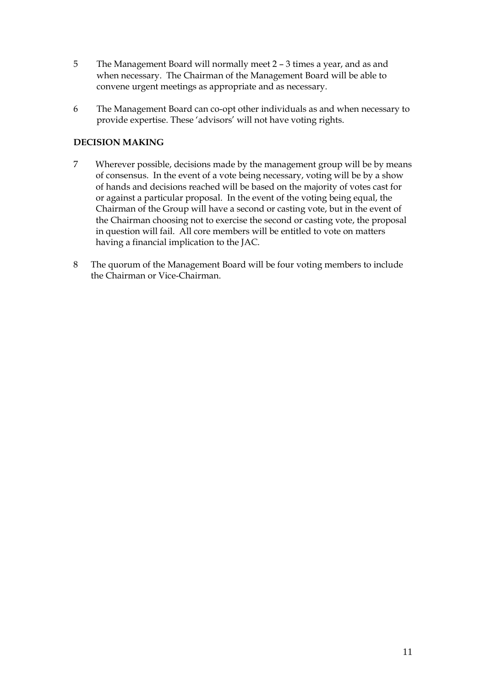- 5 The Management Board will normally meet 2 3 times a year, and as and when necessary. The Chairman of the Management Board will be able to convene urgent meetings as appropriate and as necessary.
- 6 The Management Board can co-opt other individuals as and when necessary to provide expertise. These 'advisors' will not have voting rights.

### **DECISION MAKING**

- 7 Wherever possible, decisions made by the management group will be by means of consensus. In the event of a vote being necessary, voting will be by a show of hands and decisions reached will be based on the majority of votes cast for or against a particular proposal. In the event of the voting being equal, the Chairman of the Group will have a second or casting vote, but in the event of the Chairman choosing not to exercise the second or casting vote, the proposal in question will fail. All core members will be entitled to vote on matters having a financial implication to the JAC.
- 8 The quorum of the Management Board will be four voting members to include the Chairman or Vice-Chairman.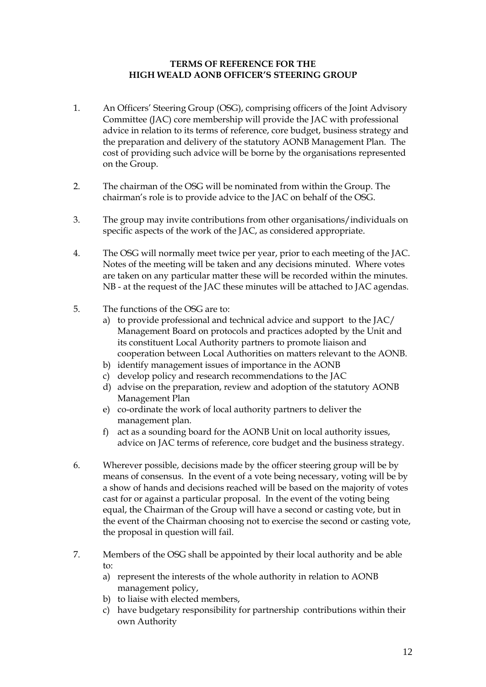### **TERMS OF REFERENCE FOR THE HIGH WEALD AONB OFFICER'S STEERING GROUP**

- 1. An Officers' Steering Group (OSG), comprising officers of the Joint Advisory Committee (JAC) core membership will provide the JAC with professional advice in relation to its terms of reference, core budget, business strategy and the preparation and delivery of the statutory AONB Management Plan. The cost of providing such advice will be borne by the organisations represented on the Group.
- 2. The chairman of the OSG will be nominated from within the Group. The chairman's role is to provide advice to the JAC on behalf of the OSG.
- 3. The group may invite contributions from other organisations/individuals on specific aspects of the work of the JAC, as considered appropriate.
- 4. The OSG will normally meet twice per year, prior to each meeting of the JAC. Notes of the meeting will be taken and any decisions minuted. Where votes are taken on any particular matter these will be recorded within the minutes. NB - at the request of the JAC these minutes will be attached to JAC agendas.
- 5. The functions of the OSG are to:
	- a) to provide professional and technical advice and support to the JAC/ Management Board on protocols and practices adopted by the Unit and its constituent Local Authority partners to promote liaison and cooperation between Local Authorities on matters relevant to the AONB.
	- b) identify management issues of importance in the AONB
	- c) develop policy and research recommendations to the JAC
	- d) advise on the preparation, review and adoption of the statutory AONB Management Plan
	- e) co-ordinate the work of local authority partners to deliver the management plan.
	- f) act as a sounding board for the AONB Unit on local authority issues, advice on JAC terms of reference, core budget and the business strategy.
- 6. Wherever possible, decisions made by the officer steering group will be by means of consensus. In the event of a vote being necessary, voting will be by a show of hands and decisions reached will be based on the majority of votes cast for or against a particular proposal. In the event of the voting being equal, the Chairman of the Group will have a second or casting vote, but in the event of the Chairman choosing not to exercise the second or casting vote, the proposal in question will fail.
- 7. Members of the OSG shall be appointed by their local authority and be able to:
	- a) represent the interests of the whole authority in relation to AONB management policy,
	- b) to liaise with elected members,
	- c) have budgetary responsibility for partnership contributions within their own Authority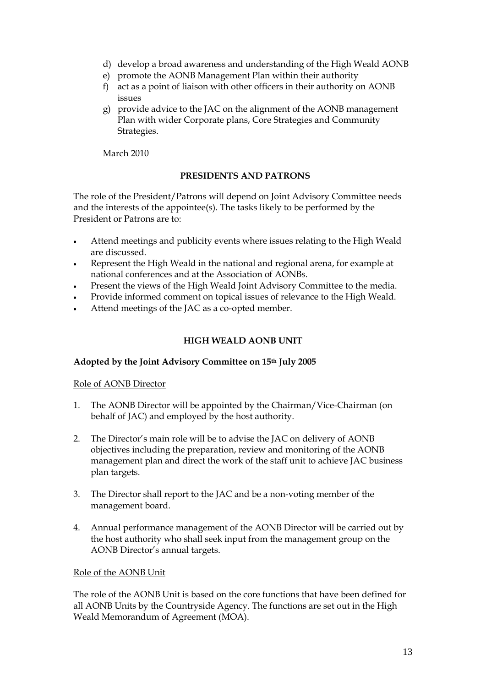- d) develop a broad awareness and understanding of the High Weald AONB
- e) promote the AONB Management Plan within their authority
- f) act as a point of liaison with other officers in their authority on AONB issues
- g) provide advice to the JAC on the alignment of the AONB management Plan with wider Corporate plans, Core Strategies and Community Strategies.

March 2010

### **PRESIDENTS AND PATRONS**

The role of the President/Patrons will depend on Joint Advisory Committee needs and the interests of the appointee(s). The tasks likely to be performed by the President or Patrons are to:

- Attend meetings and publicity events where issues relating to the High Weald are discussed.
- Represent the High Weald in the national and regional arena, for example at national conferences and at the Association of AONBs.
- Present the views of the High Weald Joint Advisory Committee to the media.
- Provide informed comment on topical issues of relevance to the High Weald.
- Attend meetings of the JAC as a co-opted member.

# **HIGH WEALD AONB UNIT**

# **Adopted by the Joint Advisory Committee on 15th July 2005**

### Role of AONB Director

- 1. The AONB Director will be appointed by the Chairman/Vice-Chairman (on behalf of JAC) and employed by the host authority.
- 2. The Director's main role will be to advise the JAC on delivery of AONB objectives including the preparation, review and monitoring of the AONB management plan and direct the work of the staff unit to achieve JAC business plan targets.
- 3. The Director shall report to the JAC and be a non-voting member of the management board.
- 4. Annual performance management of the AONB Director will be carried out by the host authority who shall seek input from the management group on the AONB Director's annual targets.

### Role of the AONB Unit

The role of the AONB Unit is based on the core functions that have been defined for all AONB Units by the Countryside Agency. The functions are set out in the High Weald Memorandum of Agreement (MOA).